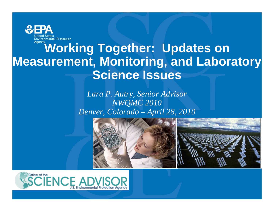

### **Working Together: Updates on Measurement, Monitoring, and Laboratory Science Issues**

#### *L P A t S i Ad i Lara P. u try, Sen ior Adv isor NWQMC 2010 Denver, Colorado – April 28, 2010*



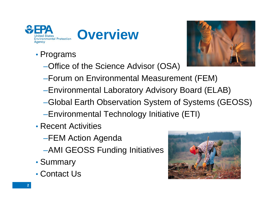



- Programs
	- –Office of the Science Advisor (OSA)



- –Forum on Environmental Measurement (FEM)
- –Environmental Laboratory Advisory Board (ELAB)
- –Global Earth Observation System of Systems (GEOSS)
- –Environmental Technology Initiative (ETI)
- Recent Activities
	- –FEM Action Agenda
	- –AMI GEOSS Funding Initiatives
- Summary
- Contact Us

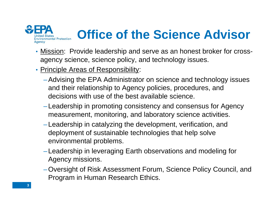

### **Office of the Science Advisor**

- Mission: Provide leadership and serve as an honest broker for crossagency science, science policy, and technology issues.
- Principle Areas of Responsibility:
	- –Advising the EPA Administrator on science and technology issues and their relationship to Agency policies, procedures, and decisions with use of the best available science.
	- –Leadership in promoting consistency and consensus for Agency measurement, monitoring, and laboratory science activities.
	- –Leadership in catalyzing the development, verification, and deployment of sustainable technologies that help solve environmental problems.
	- –Leadership in leveraging Earth observations and modeling for Agency missions.
	- -Oversight of Risk Assessment Forum, Science Policy Council, and Program in Human Research Ethics.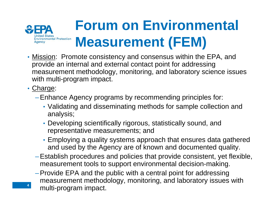

- Mission: Promote consistency and consensus within the EPA, and provide an internal and external contact point for addressing measurement methodology, monitoring, and laboratory science issues with multi-program impact.
- Charge:

- –Enhance Agency programs by recommending principles for:
	- Validating and disseminating methods for sample collection and analysis;
	- Developing scientifically rigorous, statistically sound, and representative measurements; and
	- Employing a quality systems approach that ensures data gathered and used by the Agency are of known and documented quality.
- –Establish procedures and policies that provide consistent, yet flexible, measurement tools to support environmental decision-making.
- Provide EPA and the public with <sup>a</sup> central point for addressing –Provide measurement methodology, monitoring, and laboratory issues with multi-program impact.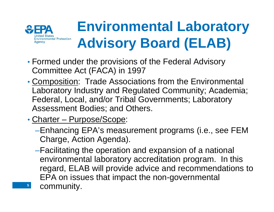

- Formed under the provisions of the Federal Advisory Committee Act (FACA) in 1997
- Composition: Trade Associations from the Environmental Laboratory Industry and Regulated Community; Academia; Federal, Local, and/or Tribal Governments; Laboratory Assessment Bodies; and Others.
- Charter –<u>– Purpose/Scope</u>:

- –Enhancing EPA's measurement programs (i.e., see FEM Charge, Action Agenda).
- –Facilitating the operation and expansion of a national environmental laboratory accreditation program. In this regard, ELAB will provide advice and recommendations to EPA on issues that impact the non-governmental community.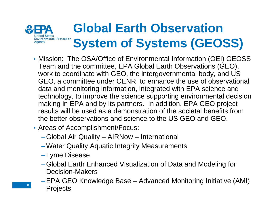#### **Global Earth Observation ronmental Protection System of Systems (GEOSS)**

- **Mission:** The OSA/Office of Environmental Information (OEI) GEOSS Team and the committee, EPA Global Earth Observations (GEO), work to coordinate with GEO, the intergovernmental body, and US GEO, a committee under CENR, to enhance the use of observational data and monitoring information, integrated with EPA science and technology, to improve the science supporting environmental decision making in EPA and by its partners. In addition, EPA GEO project results will be used as a demonstration of the societal benefits from the better observations and science to the US GEO and GEO.
- Areas of Accomplishment/Focus:
	- –Global Air Quality AIRNow International
	- $-$ Water Quality Aquatic Integrity Measurements
	- –Lyme Disease

- –Global Earth Enhanced Visualization of Data and Modeling for Decision-Makers
- –EPA GEO Knowledge Base Advanced Monitoring Initiative (AMI) **Projects**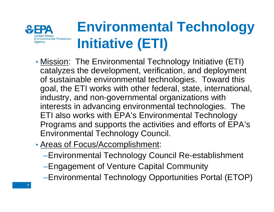

# **Environmental Technology Initiative (ETI)**

- Mission: The Environmental Technology Initiative (ETI) catalyzes the development, verification, and deployment of sustainable environmental technologies. Toward this goal, the ETI works with other federal, state, international, industry, and non-governmental organizations with interests in advancing environmental technologies. The ETI also works with EPA's Environmental Technology Programs and supports the activities and efforts of EPA's Environmental Technology Council.
- Areas of Focus/Accomplishment:
	- –Environmental Technology Council Re-establishment
	- –Engagement of Venture Capital Community
	- –Environmental Technology Opportunities Portal (ETOP)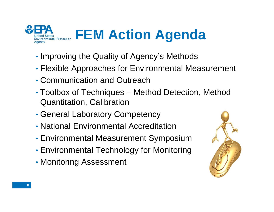

- Improving the Quality of Agency's Methods
- Flexible Approaches for Environmental Measurement
- Communication and Outreach
- Toolbox of Techniques – Method Detection, Method Quantitation, Calibration
- General Laboratory Competency
- National Environmental Accreditation
- Environmental Measurement Symposium
- Environmental Technology for Monitoring
- Monitoring Assessment

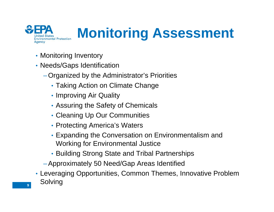

• Monitoring Inventory

- Needs/Gaps Identification
	- –Organized by the Administrator's Priorities
		- Taking Action on Climate Change
		- Improving Air Quality
		- Assuring the Safety of Chemicals
		- Cleaning Up Our Communities
		- Protecting America's Waters
		- Expanding the Conversation on Environmentalism and Working for Environmental Justice
		- Building Strong State and Tribal Partnerships
	- –Approximately 50 Need/Gap Areas Identified
- Leveraging Opportunities, Common Themes, Innovative Problem Solving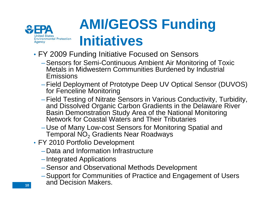

## **AMI/GEOSS Funding Initiatives**

- FY 2009 Funding Initiative Focused on Sensors
	- –Sensors for Semi-Continuous Ambient Air Monitorin g of Toxic Metals in Midwestern Communities Burdened by Industrial Emissions
	- –Field Deployment of Prototype Deep UV Optical Sensor (DUVOS) for Fenceline Monitoring
	- –Field Testing of Nitrate Sensors in Various Conductivity, Turbidity, and Dissolved Organic Carbon Gradients in the Delaware River Basin Demonstration Study Area of the National Monitoring Network for Coastal Waters and Their Tributaries
	- –Use of Many Low-cost Sensors for Monitoring Spatial and Temporal NO $_2$  Gradients Near Roadways
- FY 2010 Portfolio Develo pment
	- –Data and Information Infrastructure
	- –Integrated Applications
	- –Sensor and Observational Methods Development
	- –Support for Communities of Practice and Engagement of Users and Decision Makers.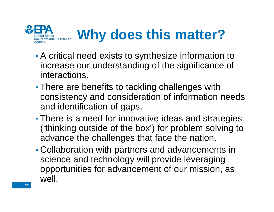

- • A critical need exists to synthesize information to increase our understanding of the significance of interactions.
- • There are benefits to tackling challenges with consistency and consideration of information needs and identification of gaps.
- • $\bullet$  There is a need for innovative ideas and strategies ('thinking outside of the box') for problem solving to advance the challenges that face the nation.
- • Collaboration with partners and advancements in science and technology will provide leveraging opportunities for advancement of our mission, as well.